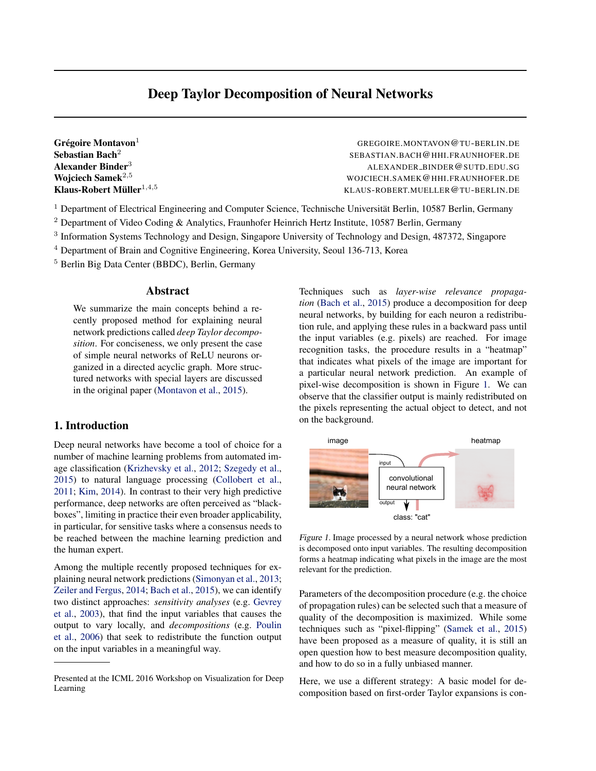# Deep Taylor Decomposition of Neural Networks

<span id="page-0-0"></span>Grégoire Montavon $<sup>1</sup>$ </sup> Sebastian Bach<sup>2</sup> Klaus-Robert Müller $^{1,4,5}$ 

<sup>1</sup> GREGOIRE.MONTAVON@TU-BERLIN.DE SEBASTIAN.BACH@HHI.FRAUNHOFER.DE Alexander Binder<sup>3</sup> ALEXANDER\_BINDER @SUTD.EDU.SG Wojciech Samek<sup>2,5</sup> North Samek<sup>2,5</sup> Wojciech.Samek<sup>2,5</sup> Wojciech.Samek<sup>2,5</sup> Wojciech.Samek<sup>2,5</sup> <sup>1</sup>,4,<sup>5</sup> KLAUS-ROBERT.MUELLER@TU-BERLIN.DE

<sup>1</sup> Department of Electrical Engineering and Computer Science, Technische Universität Berlin, 10587 Berlin, Germany

<sup>2</sup> Department of Video Coding & Analytics, Fraunhofer Heinrich Hertz Institute, 10587 Berlin, Germany

<sup>3</sup> Information Systems Technology and Design, Singapore University of Technology and Design, 487372, Singapore

<sup>4</sup> Department of Brain and Cognitive Engineering, Korea University, Seoul 136-713, Korea

<sup>5</sup> Berlin Big Data Center (BBDC), Berlin, Germany

#### Abstract

We summarize the main concepts behind a recently proposed method for explaining neural network predictions called *deep Taylor decomposition*. For conciseness, we only present the case of simple neural networks of ReLU neurons organized in a directed acyclic graph. More structured networks with special layers are discussed in the original paper [\(Montavon et al.,](#page-2-0) [2015\)](#page-2-0).

## 1. Introduction

Deep neural networks have become a tool of choice for a number of machine learning problems from automated image classification [\(Krizhevsky et al.,](#page-2-0) [2012;](#page-2-0) [Szegedy et al.,](#page-2-0) [2015\)](#page-2-0) to natural language processing [\(Collobert et al.,](#page-2-0) [2011;](#page-2-0) [Kim,](#page-2-0) [2014\)](#page-2-0). In contrast to their very high predictive performance, deep networks are often perceived as "blackboxes", limiting in practice their even broader applicability, in particular, for sensitive tasks where a consensus needs to be reached between the machine learning prediction and the human expert.

Among the multiple recently proposed techniques for explaining neural network predictions [\(Simonyan et al.,](#page-2-0) [2013;](#page-2-0) [Zeiler and Fergus,](#page-2-0) [2014;](#page-2-0) [Bach et al.,](#page-2-0) [2015\)](#page-2-0), we can identify two distinct approaches: *sensitivity analyses* (e.g. [Gevrey](#page-2-0) [et al.,](#page-2-0) [2003\)](#page-2-0), that find the input variables that causes the output to vary locally, and *decompositions* (e.g. [Poulin](#page-2-0) [et al.,](#page-2-0) [2006\)](#page-2-0) that seek to redistribute the function output on the input variables in a meaningful way.

Techniques such as *layer-wise relevance propagation* [\(Bach et al.,](#page-2-0) [2015\)](#page-2-0) produce a decomposition for deep neural networks, by building for each neuron a redistribution rule, and applying these rules in a backward pass until the input variables (e.g. pixels) are reached. For image recognition tasks, the procedure results in a "heatmap" that indicates what pixels of the image are important for a particular neural network prediction. An example of pixel-wise decomposition is shown in Figure 1. We can observe that the classifier output is mainly redistributed on the pixels representing the actual object to detect, and not on the background.



Figure 1. Image processed by a neural network whose prediction is decomposed onto input variables. The resulting decomposition forms a heatmap indicating what pixels in the image are the most relevant for the prediction.

Parameters of the decomposition procedure (e.g. the choice of propagation rules) can be selected such that a measure of quality of the decomposition is maximized. While some techniques such as "pixel-flipping" [\(Samek et al.,](#page-2-0) [2015\)](#page-2-0) have been proposed as a measure of quality, it is still an open question how to best measure decomposition quality, and how to do so in a fully unbiased manner.

Here, we use a different strategy: A basic model for decomposition based on first-order Taylor expansions is con-

Presented at the ICML 2016 Workshop on Visualization for Deep Learning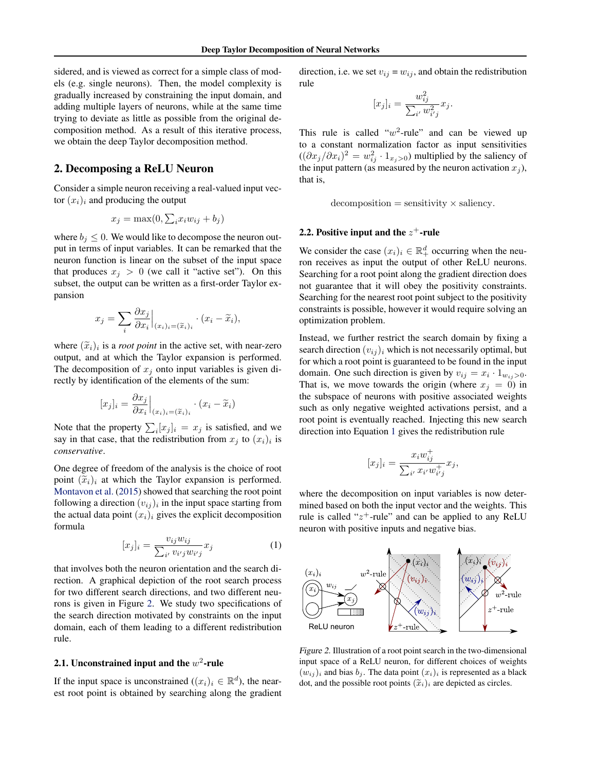sidered, and is viewed as correct for a simple class of models (e.g. single neurons). Then, the model complexity is gradually increased by constraining the input domain, and adding multiple layers of neurons, while at the same time trying to deviate as little as possible from the original decomposition method. As a result of this iterative process, we obtain the deep Taylor decomposition method.

#### 2. Decomposing a ReLU Neuron

Consider a simple neuron receiving a real-valued input vector  $(x_i)_i$  and producing the output

$$
x_j = \max(0, \sum_i x_i w_{ij} + b_j)
$$

where  $b_i \leq 0$ . We would like to decompose the neuron output in terms of input variables. It can be remarked that the neuron function is linear on the subset of the input space that produces  $x_j > 0$  (we call it "active set"). On this subset, the output can be written as a first-order Taylor expansion

$$
x_j = \sum_i \frac{\partial x_j}{\partial x_i} \Big|_{(x_i)_i = (\widetilde{x}_i)_i} \cdot (x_i - \widetilde{x}_i),
$$

where  $(\tilde{x}_i)_i$  is a *root point* in the active set, with near-zero<br>output, and at which the Taylor expansion is performed output, and at which the Taylor expansion is performed. The decomposition of  $x_j$  onto input variables is given directly by identification of the elements of the sum:

$$
[x_j]_i = \frac{\partial x_j}{\partial x_i}\Big|_{(x_i)_i = (\widetilde{x}_i)_i} \cdot (x_i - \widetilde{x}_i)
$$

Note that the property  $\sum_i [x_j]_i = x_j$  is satisfied, and we say in that case, that the redistribution from  $x_j$  to  $(x_i)_i$  is *conservative*.

One degree of freedom of the analysis is the choice of root point  $(\widetilde{x}_i)_i$  at which the Taylor expansion is performed. [Montavon et al.](#page-2-0) [\(2015\)](#page-2-0) showed that searching the root point following a direction  $(v_{ij})_i$  in the input space starting from the actual data point  $(x_i)_i$  gives the explicit decomposition formula

$$
[x_j]_i = \frac{v_{ij}w_{ij}}{\sum_{i'} v_{i'j}w_{i'j}}x_j
$$
 (1)

that involves both the neuron orientation and the search direction. A graphical depiction of the root search process for two different search directions, and two different neurons is given in Figure 2. We study two specifications of the search direction motivated by constraints on the input domain, each of them leading to a different redistribution rule.

#### 2.1. Unconstrained input and the  $w^2$ -rule

If the input space is unconstrained  $((x_i)_i \in \mathbb{R}^d)$ , the nearest root point is obtained by searching along the gradient direction, i.e. we set  $v_{ij} = w_{ij}$ , and obtain the redistribution rule

$$
[x_j]_i = \frac{w_{ij}^2}{\sum_{i'} w_{i'j}^2} x_j.
$$

This rule is called " $w^2$ -rule" and can be viewed up to a constant normalization factor as input sensitivities  $((\partial x_j/\partial x_i)^2 = w_{ij}^2 \cdot 1_{x_j>0})$  multiplied by the saliency of the input pattern (as measured by the neuron activation  $x_j$ ), that is,

 $decomposition = sensitivity \times saliency.$ 

#### 2.2. Positive input and the  $z^+$ -rule

We consider the case  $(x_i)_i \in \mathbb{R}^d_+$  occurring when the neuron receives as input the output of other ReLU neurons. Searching for a root point along the gradient direction does not guarantee that it will obey the positivity constraints. Searching for the nearest root point subject to the positivity constraints is possible, however it would require solving an optimization problem.

Instead, we further restrict the search domain by fixing a search direction  $(v_{ij})_i$  which is not necessarily optimal, but for which a root point is guaranteed to be found in the input domain. One such direction is given by  $v_{ij} = x_i \cdot 1_{w_{ij} > 0}$ . That is, we move towards the origin (where  $x_j = 0$ ) in the subspace of neurons with positive associated weights such as only negative weighted activations persist, and a root point is eventually reached. Injecting this new search direction into Equation 1 gives the redistribution rule

$$
[x_j]_i = \frac{x_i w_{ij}^+}{\sum_{i'} x_{i'} w_{i'j}^+} x_j,
$$

where the decomposition on input variables is now determined based on both the input vector and the weights. This rule is called " $z^+$ -rule" and can be applied to any ReLU neuron with positive inputs and negative bias.



Figure 2. Illustration of a root point search in the two-dimensional input space of a ReLU neuron, for different choices of weights  $(w_{ij})_i$  and bias  $b_j$ . The data point  $(x_i)_i$  is represented as a black dot, and the possible root points  $(\widetilde{x}_i)_i$  are depicted as circles.